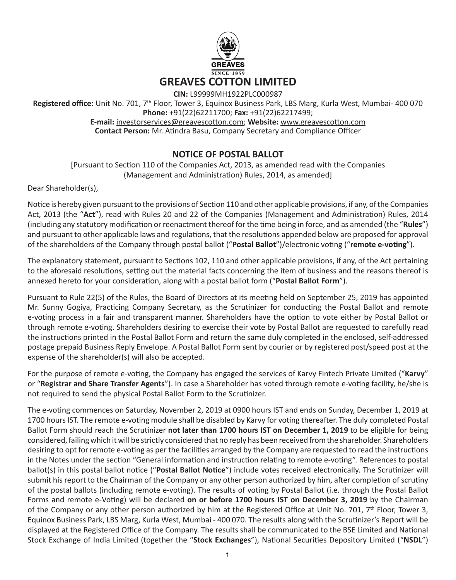

**CIN:** L99999MH1922PLC000987

**Registered office:** Unit No. 701, 7th Floor, Tower 3, Equinox Business Park, LBS Marg, Kurla West, Mumbai- 400 070

**Phone:** +91(22)62211700; **Fax:** +91(22)62217499; **E-mail:** investorservices@greavescotton.com; **Website:** www.greavescotton.com **Contact Person:** Mr. Atindra Basu, Company Secretary and Compliance Officer

# **NOTICE OF POSTAL BALLOT**

[Pursuant to Section 110 of the Companies Act, 2013, as amended read with the Companies (Management and Administration) Rules, 2014, as amended]

Dear Shareholder(s),

Notice is hereby given pursuant to the provisions of Section 110 and other applicable provisions, if any, of the Companies Act, 2013 (the "**Act**"), read with Rules 20 and 22 of the Companies (Management and Administration) Rules, 2014 (including any statutory modification or reenactment thereof for the time being in force, and as amended (the "**Rules**") and pursuant to other applicable laws and regulations, that the resolutions appended below are proposed for approval of the shareholders of the Company through postal ballot ("**Postal Ballot**")/electronic voting ("**remote e-voting**").

The explanatory statement, pursuant to Sections 102, 110 and other applicable provisions, if any, of the Act pertaining to the aforesaid resolutions, setting out the material facts concerning the item of business and the reasons thereof is annexed hereto for your consideration, along with a postal ballot form ("**Postal Ballot Form**").

Pursuant to Rule 22(5) of the Rules, the Board of Directors at its meeting held on September 25, 2019 has appointed Mr. Sunny Gogiya, Practicing Company Secretary, as the Scrutinizer for conducting the Postal Ballot and remote e-voting process in a fair and transparent manner. Shareholders have the option to vote either by Postal Ballot or through remote e-voting. Shareholders desiring to exercise their vote by Postal Ballot are requested to carefully read the instructions printed in the Postal Ballot Form and return the same duly completed in the enclosed, self-addressed postage prepaid Business Reply Envelope. A Postal Ballot Form sent by courier or by registered post/speed post at the expense of the shareholder(s) will also be accepted.

For the purpose of remote e-voting, the Company has engaged the services of Karvy Fintech Private Limited ("**Karvy**" or "**Registrar and Share Transfer Agents**"). In case a Shareholder has voted through remote e-voting facility, he/she is not required to send the physical Postal Ballot Form to the Scrutinizer.

The e-voting commences on Saturday, November 2, 2019 at 0900 hours IST and ends on Sunday, December 1, 2019 at 1700 hours IST. The remote e-voting module shall be disabled by Karvy for voting thereafter. The duly completed Postal Ballot Form should reach the Scrutinizer **not later than 1700 hours IST on December 1, 2019** to be eligible for being considered, failing which it will be strictly considered that no reply has been received from the shareholder. Shareholders desiring to opt for remote e-voting as per the facilities arranged by the Company are requested to read the instructions in the Notes under the section "General information and instruction relating to remote e-voting". References to postal ballot(s) in this postal ballot notice ("**Postal Ballot Notice**") include votes received electronically. The Scrutinizer will submit his report to the Chairman of the Company or any other person authorized by him, after completion of scrutiny of the postal ballots (including remote e-voting). The results of voting by Postal Ballot (i.e. through the Postal Ballot Forms and remote e-Voting) will be declared **on or before 1700 hours IST on December 3, 2019** by the Chairman of the Company or any other person authorized by him at the Registered Office at Unit No. 701, 7<sup>th</sup> Floor, Tower 3, Equinox Business Park, LBS Marg, Kurla West, Mumbai - 400 070. The results along with the Scrutinizer's Report will be displayed at the Registered Office of the Company. The results shall be communicated to the BSE Limited and National Stock Exchange of India Limited (together the "**Stock Exchanges**"), National Securities Depository Limited ("**NSDL**")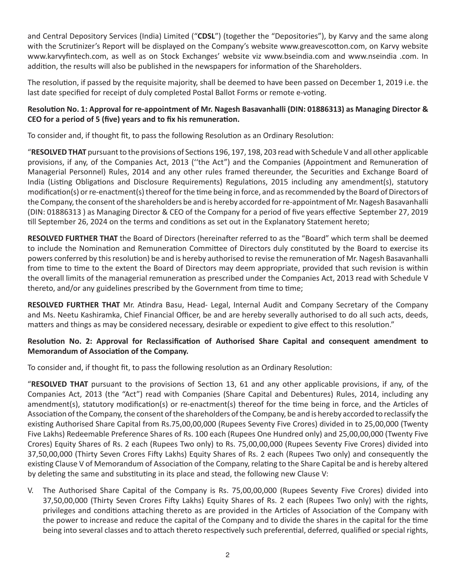and Central Depository Services (India) Limited ("**CDSL**") (together the "Depositories"), by Karvy and the same along with the Scrutinizer's Report will be displayed on the Company's website www.greavescotton.com, on Karvy website www.karvyfintech.com, as well as on Stock Exchanges' website viz www.bseindia.com and www.nseindia .com. In addition, the results will also be published in the newspapers for information of the Shareholders.

The resolution, if passed by the requisite majority, shall be deemed to have been passed on December 1, 2019 i.e. the last date specified for receipt of duly completed Postal Ballot Forms or remote e-voting.

# **Resolution No. 1: Approval for re-appointment of Mr. Nagesh Basavanhalli (DIN: 01886313) as Managing Director & CEO for a period of 5 (five) years and to fix his remuneration.**

To consider and, if thought fit, to pass the following Resolution as an Ordinary Resolution:

"**RESOLVED THAT** pursuant to the provisions of Sections 196, 197, 198, 203 read with Schedule V and all other applicable provisions, if any, of the Companies Act, 2013 (''the Act") and the Companies (Appointment and Remuneration of Managerial Personnel) Rules, 2014 and any other rules framed thereunder, the Securities and Exchange Board of India (Listing Obligations and Disclosure Requirements) Regulations, 2015 including any amendment(s), statutory modification(s) or re-enactment(s) thereof for the time being in force, and as recommended by the Board of Directors of the Company, the consent of the shareholders be and is hereby accorded for re-appointment of Mr. Nagesh Basavanhalli (DIN: 01886313 ) as Managing Director & CEO of the Company for a period of five years effective September 27, 2019 till September 26, 2024 on the terms and conditions as set out in the Explanatory Statement hereto;

**RESOLVED FURTHER THAT** the Board of Directors (hereinafter referred to as the "Board" which term shall be deemed to include the Nomination and Remuneration Committee of Directors duly constituted by the Board to exercise its powers conferred by this resolution) be and is hereby authorised to revise the remuneration of Mr. Nagesh Basavanhalli from time to time to the extent the Board of Directors may deem appropriate, provided that such revision is within the overall limits of the managerial remuneration as prescribed under the Companies Act, 2013 read with Schedule V thereto, and/or any guidelines prescribed by the Government from time to time;

**RESOLVED FURTHER THAT** Mr. Atindra Basu, Head- Legal, Internal Audit and Company Secretary of the Company and Ms. Neetu Kashiramka, Chief Financial Officer, be and are hereby severally authorised to do all such acts, deeds, matters and things as may be considered necessary, desirable or expedient to give effect to this resolution."

# **Resolution No. 2: Approval for Reclassification of Authorised Share Capital and consequent amendment to Memorandum of Association of the Company.**

To consider and, if thought fit, to pass the following resolution as an Ordinary Resolution:

"**RESOLVED THAT** pursuant to the provisions of Section 13, 61 and any other applicable provisions, if any, of the Companies Act, 2013 (the "Act") read with Companies (Share Capital and Debentures) Rules, 2014, including any amendment(s), statutory modification(s) or re-enactment(s) thereof for the time being in force, and the Articles of Association of the Company, the consent of the shareholders of the Company, be and is hereby accorded to reclassify the existing Authorised Share Capital from Rs.75,00,00,000 (Rupees Seventy Five Crores) divided in to 25,00,000 (Twenty Five Lakhs) Redeemable Preference Shares of Rs. 100 each (Rupees One Hundred only) and 25,00,00,000 (Twenty Five Crores) Equity Shares of Rs. 2 each (Rupees Two only) to Rs. 75,00,00,000 (Rupees Seventy Five Crores) divided into 37,50,00,000 (Thirty Seven Crores Fifty Lakhs) Equity Shares of Rs. 2 each (Rupees Two only) and consequently the existing Clause V of Memorandum of Association of the Company, relating to the Share Capital be and is hereby altered by deleting the same and substituting in its place and stead, the following new Clause V:

V. The Authorised Share Capital of the Company is Rs. 75,00,00,000 (Rupees Seventy Five Crores) divided into 37,50,00,000 (Thirty Seven Crores Fifty Lakhs) Equity Shares of Rs. 2 each (Rupees Two only) with the rights, privileges and conditions attaching thereto as are provided in the Articles of Association of the Company with the power to increase and reduce the capital of the Company and to divide the shares in the capital for the time being into several classes and to attach thereto respectively such preferential, deferred, qualified or special rights,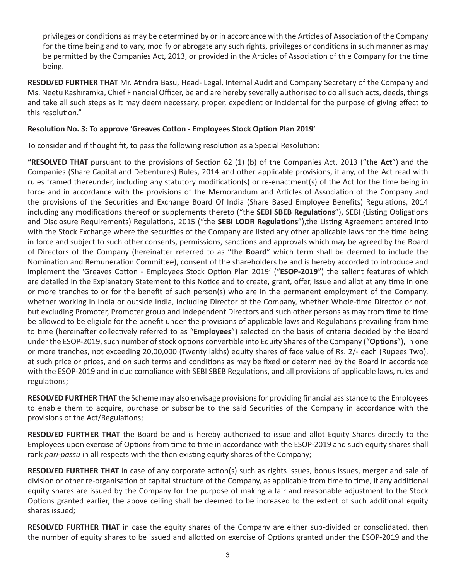privileges or conditions as may be determined by or in accordance with the Articles of Association of the Company for the time being and to vary, modify or abrogate any such rights, privileges or conditions in such manner as may be permitted by the Companies Act, 2013, or provided in the Articles of Association of th e Company for the time being.

**RESOLVED FURTHER THAT** Mr. Atindra Basu, Head- Legal, Internal Audit and Company Secretary of the Company and Ms. Neetu Kashiramka, Chief Financial Officer, be and are hereby severally authorised to do all such acts, deeds, things and take all such steps as it may deem necessary, proper, expedient or incidental for the purpose of giving effect to this resolution."

### **Resolution No. 3: To approve 'Greaves Cotton - Employees Stock Option Plan 2019'**

To consider and if thought fit, to pass the following resolution as a Special Resolution:

**"RESOLVED THAT** pursuant to the provisions of Section 62 (1) (b) of the Companies Act, 2013 ("the **Act**") and the Companies (Share Capital and Debentures) Rules, 2014 and other applicable provisions, if any, of the Act read with rules framed thereunder, including any statutory modification(s) or re-enactment(s) of the Act for the time being in force and in accordance with the provisions of the Memorandum and Articles of Association of the Company and the provisions of the Securities and Exchange Board Of India (Share Based Employee Benefits) Regulations, 2014 including any modifications thereof or supplements thereto ("the **SEBI SBEB Regulations**"), SEBI (Listing Obligations and Disclosure Requirements) Regulations, 2015 ("the **SEBI LODR Regulations**"),the Listing Agreement entered into with the Stock Exchange where the securities of the Company are listed any other applicable laws for the time being in force and subject to such other consents, permissions, sanctions and approvals which may be agreed by the Board of Directors of the Company (hereinafter referred to as "the **Board**" which term shall be deemed to include the Nomination and Remuneration Committee), consent of the shareholders be and is hereby accorded to introduce and implement the 'Greaves Cotton - Employees Stock Option Plan 2019' ("**ESOP-2019**") the salient features of which are detailed in the Explanatory Statement to this Notice and to create, grant, offer, issue and allot at any time in one or more tranches to or for the benefit of such person(s) who are in the permanent employment of the Company, whether working in India or outside India, including Director of the Company, whether Whole-time Director or not, but excluding Promoter, Promoter group and Independent Directors and such other persons as may from time to time be allowed to be eligible for the benefit under the provisions of applicable laws and Regulations prevailing from time to time (hereinafter collectively referred to as "**Employees**") selected on the basis of criteria decided by the Board under the ESOP-2019, such number of stock options convertible into Equity Shares of the Company ("**Options**"), in one or more tranches, not exceeding 20,00,000 (Twenty lakhs) equity shares of face value of Rs. 2/- each (Rupees Two), at such price or prices, and on such terms and conditions as may be fixed or determined by the Board in accordance with the ESOP-2019 and in due compliance with SEBI SBEB Regulations, and all provisions of applicable laws, rules and regulations;

**RESOLVED FURTHER THAT** the Scheme may also envisage provisions for providing financial assistance to the Employees to enable them to acquire, purchase or subscribe to the said Securities of the Company in accordance with the provisions of the Act/Regulations;

**RESOLVED FURTHER THAT** the Board be and is hereby authorized to issue and allot Equity Shares directly to the Employees upon exercise of Options from time to time in accordance with the ESOP-2019 and such equity shares shall rank *pari-passu* in all respects with the then existing equity shares of the Company;

**RESOLVED FURTHER THAT** in case of any corporate action(s) such as rights issues, bonus issues, merger and sale of division or other re-organisation of capital structure of the Company, as applicable from time to time, if any additional equity shares are issued by the Company for the purpose of making a fair and reasonable adjustment to the Stock Options granted earlier, the above ceiling shall be deemed to be increased to the extent of such additional equity shares issued;

**RESOLVED FURTHER THAT** in case the equity shares of the Company are either sub-divided or consolidated, then the number of equity shares to be issued and allotted on exercise of Options granted under the ESOP-2019 and the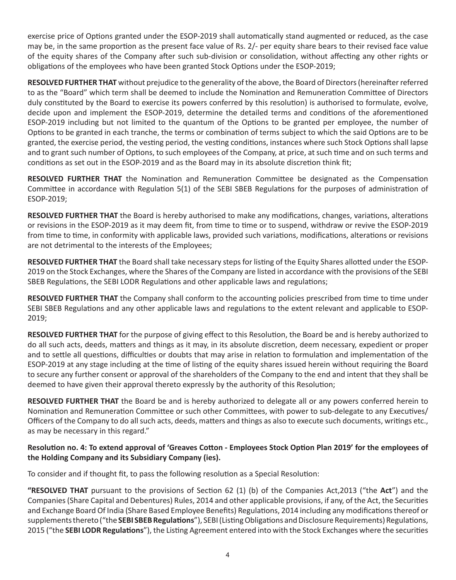exercise price of Options granted under the ESOP-2019 shall automatically stand augmented or reduced, as the case may be, in the same proportion as the present face value of Rs. 2/- per equity share bears to their revised face value of the equity shares of the Company after such sub-division or consolidation, without affecting any other rights or obligations of the employees who have been granted Stock Options under the ESOP-2019;

**RESOLVED FURTHER THAT** without prejudice to the generality of the above, the Board of Directors (hereinafter referred to as the "Board" which term shall be deemed to include the Nomination and Remuneration Committee of Directors duly constituted by the Board to exercise its powers conferred by this resolution) is authorised to formulate, evolve, decide upon and implement the ESOP-2019, determine the detailed terms and conditions of the aforementioned ESOP-2019 including but not limited to the quantum of the Options to be granted per employee, the number of Options to be granted in each tranche, the terms or combination of terms subject to which the said Options are to be granted, the exercise period, the vesting period, the vesting conditions, instances where such Stock Options shall lapse and to grant such number of Options, to such employees of the Company, at price, at such time and on such terms and conditions as set out in the ESOP-2019 and as the Board may in its absolute discretion think fit;

**RESOLVED FURTHER THAT** the Nomination and Remuneration Committee be designated as the Compensation Committee in accordance with Regulation 5(1) of the SEBI SBEB Regulations for the purposes of administration of ESOP-2019;

**RESOLVED FURTHER THAT** the Board is hereby authorised to make any modifications, changes, variations, alterations or revisions in the ESOP-2019 as it may deem fit, from time to time or to suspend, withdraw or revive the ESOP-2019 from time to time, in conformity with applicable laws, provided such variations, modifications, alterations or revisions are not detrimental to the interests of the Employees;

**RESOLVED FURTHER THAT** the Board shall take necessary steps for listing of the Equity Shares allotted under the ESOP-2019 on the Stock Exchanges, where the Shares of the Company are listed in accordance with the provisions of the SEBI SBEB Regulations, the SEBI LODR Regulations and other applicable laws and regulations;

**RESOLVED FURTHER THAT** the Company shall conform to the accounting policies prescribed from time to time under SEBI SBEB Regulations and any other applicable laws and regulations to the extent relevant and applicable to ESOP-2019;

**RESOLVED FURTHER THAT** for the purpose of giving effect to this Resolution, the Board be and is hereby authorized to do all such acts, deeds, matters and things as it may, in its absolute discretion, deem necessary, expedient or proper and to settle all questions, difficulties or doubts that may arise in relation to formulation and implementation of the ESOP-2019 at any stage including at the time of listing of the equity shares issued herein without requiring the Board to secure any further consent or approval of the shareholders of the Company to the end and intent that they shall be deemed to have given their approval thereto expressly by the authority of this Resolution;

**RESOLVED FURTHER THAT** the Board be and is hereby authorized to delegate all or any powers conferred herein to Nomination and Remuneration Committee or such other Committees, with power to sub-delegate to any Executives/ Officers of the Company to do all such acts, deeds, matters and things as also to execute such documents, writings etc., as may be necessary in this regard."

# **Resolution no. 4: To extend approval of 'Greaves Cotton - Employees Stock Option Plan 2019' for the employees of the Holding Company and its Subsidiary Company (ies).**

To consider and if thought fit, to pass the following resolution as a Special Resolution:

**"RESOLVED THAT** pursuant to the provisions of Section 62 (1) (b) of the Companies Act,2013 ("the **Act**") and the Companies (Share Capital and Debentures) Rules, 2014 and other applicable provisions, if any, of the Act, the Securities and Exchange Board Of India (Share Based Employee Benefits) Regulations, 2014 including any modifications thereof or supplements thereto ("the **SEBI SBEB Regulations**"), SEBI (Listing Obligations and Disclosure Requirements) Regulations, 2015 ("the **SEBI LODR Regulations**"), the Listing Agreement entered into with the Stock Exchanges where the securities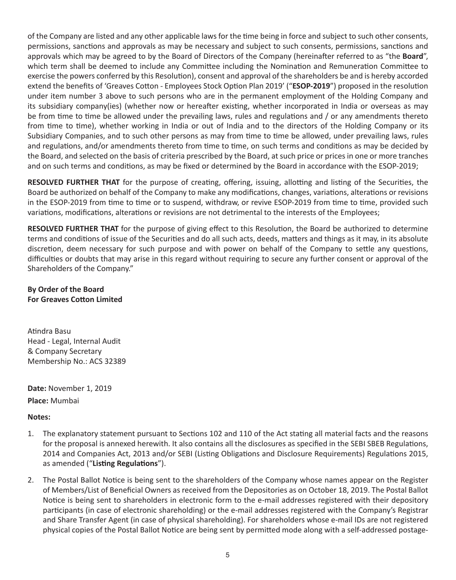of the Company are listed and any other applicable laws for the time being in force and subject to such other consents, permissions, sanctions and approvals as may be necessary and subject to such consents, permissions, sanctions and approvals which may be agreed to by the Board of Directors of the Company (hereinafter referred to as "the **Board**", which term shall be deemed to include any Committee including the Nomination and Remuneration Committee to exercise the powers conferred by this Resolution), consent and approval of the shareholders be and is hereby accorded extend the benefits of 'Greaves Cotton - Employees Stock Option Plan 2019' ("**ESOP-2019**") proposed in the resolution under item number 3 above to such persons who are in the permanent employment of the Holding Company and its subsidiary company(ies) (whether now or hereafter existing, whether incorporated in India or overseas as may be from time to time be allowed under the prevailing laws, rules and regulations and / or any amendments thereto from time to time), whether working in India or out of India and to the directors of the Holding Company or its Subsidiary Companies, and to such other persons as may from time to time be allowed, under prevailing laws, rules and regulations, and/or amendments thereto from time to time, on such terms and conditions as may be decided by the Board, and selected on the basis of criteria prescribed by the Board, at such price or prices in one or more tranches and on such terms and conditions, as may be fixed or determined by the Board in accordance with the ESOP-2019;

**RESOLVED FURTHER THAT** for the purpose of creating, offering, issuing, allotting and listing of the Securities, the Board be authorized on behalf of the Company to make any modifications, changes, variations, alterations or revisions in the ESOP-2019 from time to time or to suspend, withdraw, or revive ESOP-2019 from time to time, provided such variations, modifications, alterations or revisions are not detrimental to the interests of the Employees;

**RESOLVED FURTHER THAT** for the purpose of giving effect to this Resolution, the Board be authorized to determine terms and conditions of issue of the Securities and do all such acts, deeds, matters and things as it may, in its absolute discretion, deem necessary for such purpose and with power on behalf of the Company to settle any questions, difficulties or doubts that may arise in this regard without requiring to secure any further consent or approval of the Shareholders of the Company."

### **By Order of the Board For Greaves Cotton Limited**

Atindra Basu Head - Legal, Internal Audit & Company Secretary Membership No.: ACS 32389

**Date:** November 1, 2019 **Place:** Mumbai

### **Notes:**

- 1. The explanatory statement pursuant to Sections 102 and 110 of the Act stating all material facts and the reasons for the proposal is annexed herewith. It also contains all the disclosures as specified in the SEBI SBEB Regulations, 2014 and Companies Act, 2013 and/or SEBI (Listing Obligations and Disclosure Requirements) Regulations 2015, as amended ("**Listing Regulations**").
- 2. The Postal Ballot Notice is being sent to the shareholders of the Company whose names appear on the Register of Members/List of Beneficial Owners as received from the Depositories as on October 18, 2019. The Postal Ballot Notice is being sent to shareholders in electronic form to the e-mail addresses registered with their depository participants (in case of electronic shareholding) or the e-mail addresses registered with the Company's Registrar and Share Transfer Agent (in case of physical shareholding). For shareholders whose e-mail IDs are not registered physical copies of the Postal Ballot Notice are being sent by permitted mode along with a self-addressed postage-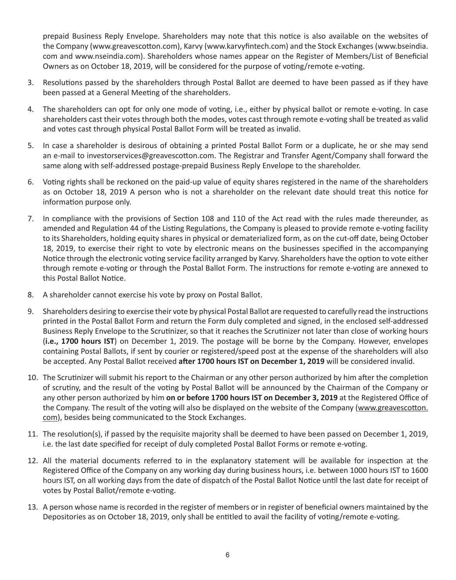prepaid Business Reply Envelope. Shareholders may note that this notice is also available on the websites of the Company (www.greavescotton.com), Karvy (www.karvyfintech.com) and the Stock Exchanges (www.bseindia. com and www.nseindia.com). Shareholders whose names appear on the Register of Members/List of Beneficial Owners as on October 18, 2019, will be considered for the purpose of voting/remote e-voting.

- 3. Resolutions passed by the shareholders through Postal Ballot are deemed to have been passed as if they have been passed at a General Meeting of the shareholders.
- 4. The shareholders can opt for only one mode of voting, i.e., either by physical ballot or remote e-voting. In case shareholders cast their votes through both the modes, votes cast through remote e-voting shall be treated as valid and votes cast through physical Postal Ballot Form will be treated as invalid.
- 5. In case a shareholder is desirous of obtaining a printed Postal Ballot Form or a duplicate, he or she may send an e-mail to investorservices@greavescotton.com. The Registrar and Transfer Agent/Company shall forward the same along with self-addressed postage-prepaid Business Reply Envelope to the shareholder.
- 6. Voting rights shall be reckoned on the paid-up value of equity shares registered in the name of the shareholders as on October 18, 2019 A person who is not a shareholder on the relevant date should treat this notice for information purpose only.
- 7. In compliance with the provisions of Section 108 and 110 of the Act read with the rules made thereunder, as amended and Regulation 44 of the Listing Regulations, the Company is pleased to provide remote e-voting facility to its Shareholders, holding equity shares in physical or dematerialized form, as on the cut-off date, being October 18, 2019, to exercise their right to vote by electronic means on the businesses specified in the accompanying Notice through the electronic voting service facility arranged by Karvy. Shareholders have the option to vote either through remote e-voting or through the Postal Ballot Form. The instructions for remote e-voting are annexed to this Postal Ballot Notice.
- 8. A shareholder cannot exercise his vote by proxy on Postal Ballot.
- 9. Shareholders desiring to exercise their vote by physical Postal Ballot are requested to carefully read the instructions printed in the Postal Ballot Form and return the Form duly completed and signed, in the enclosed self-addressed Business Reply Envelope to the Scrutinizer, so that it reaches the Scrutinizer not later than close of working hours (**i.e., 1700 hours IST**) on December 1, 2019. The postage will be borne by the Company. However, envelopes containing Postal Ballots, if sent by courier or registered/speed post at the expense of the shareholders will also be accepted. Any Postal Ballot received **after 1700 hours IST on December 1, 2019** will be considered invalid.
- 10. The Scrutinizer will submit his report to the Chairman or any other person authorized by him after the completion of scrutiny, and the result of the voting by Postal Ballot will be announced by the Chairman of the Company or any other person authorized by him **on or before 1700 hours IST on December 3, 2019** at the Registered Office of the Company. The result of the voting will also be displayed on the website of the Company (www.greavescotton. com), besides being communicated to the Stock Exchanges.
- 11. The resolution(s), if passed by the requisite majority shall be deemed to have been passed on December 1, 2019, i.e. the last date specified for receipt of duly completed Postal Ballot Forms or remote e-voting.
- 12. All the material documents referred to in the explanatory statement will be available for inspection at the Registered Office of the Company on any working day during business hours, i.e. between 1000 hours IST to 1600 hours IST, on all working days from the date of dispatch of the Postal Ballot Notice until the last date for receipt of votes by Postal Ballot/remote e-voting.
- 13. A person whose name is recorded in the register of members or in register of beneficial owners maintained by the Depositories as on October 18, 2019, only shall be entitled to avail the facility of voting/remote e-voting.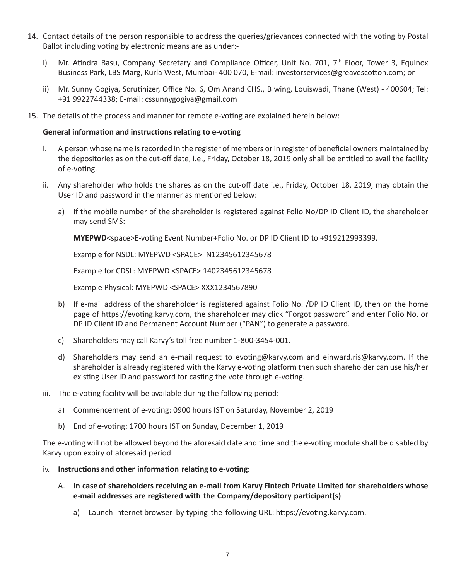- 14. Contact details of the person responsible to address the queries/grievances connected with the voting by Postal Ballot including voting by electronic means are as under:
	- i) Mr. Atindra Basu, Company Secretary and Compliance Officer, Unit No. 701,  $7<sup>th</sup>$  Floor, Tower 3, Equinox Business Park, LBS Marg, Kurla West, Mumbai- 400 070, E-mail: investorservices@greavescotton.com; or
	- ii) Mr. Sunny Gogiya, Scrutinizer, Office No. 6, Om Anand CHS., B wing, Louiswadi, Thane (West) 400604; Tel: +91 9922744338; E-mail: cssunnygogiya@gmail.com
- 15. The details of the process and manner for remote e-voting are explained herein below:

#### **General information and instructions relating to e-voting**

- i. A person whose name is recorded in the register of members or in register of beneficial owners maintained by the depositories as on the cut-off date, i.e., Friday, October 18, 2019 only shall be entitled to avail the facility of e-voting.
- ii. Any shareholder who holds the shares as on the cut-off date i.e., Friday, October 18, 2019, may obtain the User ID and password in the manner as mentioned below:
	- a) If the mobile number of the shareholder is registered against Folio No/DP ID Client ID, the shareholder may send SMS:

**MYEPWD**<space>E-voting Event Number+Folio No. or DP ID Client ID to +919212993399.

Example for NSDL: MYEPWD <SPACE> IN12345612345678

Example for CDSL: MYEPWD <SPACE> 1402345612345678

Example Physical: MYEPWD <SPACE> XXX1234567890

- b) If e-mail address of the shareholder is registered against Folio No. /DP ID Client ID, then on the home page of https://evoting.karvy.com, the shareholder may click "Forgot password" and enter Folio No. or DP ID Client ID and Permanent Account Number ("PAN") to generate a password.
- c) Shareholders may call Karvy's toll free number 1-800-3454-001.
- d) Shareholders may send an e-mail request to evoting@karvy.com and einward.ris@karvy.com. If the shareholder is already registered with the Karvy e-voting platform then such shareholder can use his/her existing User ID and password for casting the vote through e-voting.
- iii. The e-voting facility will be available during the following period:
	- a) Commencement of e-voting: 0900 hours IST on Saturday, November 2, 2019
	- b) End of e-voting: 1700 hours IST on Sunday, December 1, 2019

The e-voting will not be allowed beyond the aforesaid date and time and the e-voting module shall be disabled by Karvy upon expiry of aforesaid period.

- iv. **Instructions and other information relating to e-voting:**
	- A. **In case of shareholders receiving an e-mail from Karvy Fintech Private Limited for shareholders whose e-mail addresses are registered with the Company/depository participant(s)**
		- a) Launch internet browser by typing the following URL: https://evoting.karvy.com.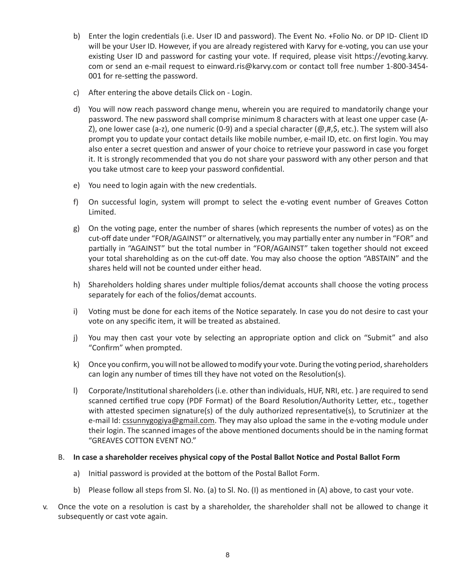- b) Enter the login credentials (i.e. User ID and password). The Event No. +Folio No. or DP ID- Client ID will be your User ID. However, if you are already registered with Karvy for e-voting, you can use your existing User ID and password for casting your vote. If required, please visit https://evoting.karvy. com or send an e-mail request to einward.ris@karvy.com or contact toll free number 1-800-3454- 001 for re-setting the password.
- c) After entering the above details Click on Login.
- d) You will now reach password change menu, wherein you are required to mandatorily change your password. The new password shall comprise minimum 8 characters with at least one upper case (A-Z), one lower case (a-z), one numeric (0-9) and a special character ( $\omega, \sharp, \xi$ , etc.). The system will also prompt you to update your contact details like mobile number, e-mail ID, etc. on first login. You may also enter a secret question and answer of your choice to retrieve your password in case you forget it. It is strongly recommended that you do not share your password with any other person and that you take utmost care to keep your password confidential.
- e) You need to login again with the new credentials.
- f) On successful login, system will prompt to select the e-voting event number of Greaves Cotton Limited.
- g) On the voting page, enter the number of shares (which represents the number of votes) as on the cut-off date under "FOR/AGAINST" or alternatively, you may partially enter any number in "FOR" and partially in "AGAINST" but the total number in "FOR/AGAINST" taken together should not exceed your total shareholding as on the cut-off date. You may also choose the option "ABSTAIN" and the shares held will not be counted under either head.
- h) Shareholders holding shares under multiple folios/demat accounts shall choose the voting process separately for each of the folios/demat accounts.
- i) Voting must be done for each items of the Notice separately. In case you do not desire to cast your vote on any specific item, it will be treated as abstained.
- j) You may then cast your vote by selecting an appropriate option and click on "Submit" and also "Confirm" when prompted.
- k) Once you confirm, you will not be allowed to modify your vote. During the voting period, shareholders can login any number of times till they have not voted on the Resolution(s).
- l) Corporate/Institutional shareholders (i.e. other than individuals, HUF, NRI, etc. ) are required to send scanned certified true copy (PDF Format) of the Board Resolution/Authority Letter, etc., together with attested specimen signature(s) of the duly authorized representative(s), to Scrutinizer at the e-mail Id: cssunnygogiya@gmail.com. They may also upload the same in the e-voting module under their login. The scanned images of the above mentioned documents should be in the naming format "GREAVES COTTON EVENT NO."

#### B. **In case a shareholder receives physical copy of the Postal Ballot Notice and Postal Ballot Form**

- a) Initial password is provided at the bottom of the Postal Ballot Form.
- b) Please follow all steps from Sl. No. (a) to Sl. No. (I) as mentioned in (A) above, to cast your vote.
- v. Once the vote on a resolution is cast by a shareholder, the shareholder shall not be allowed to change it subsequently or cast vote again.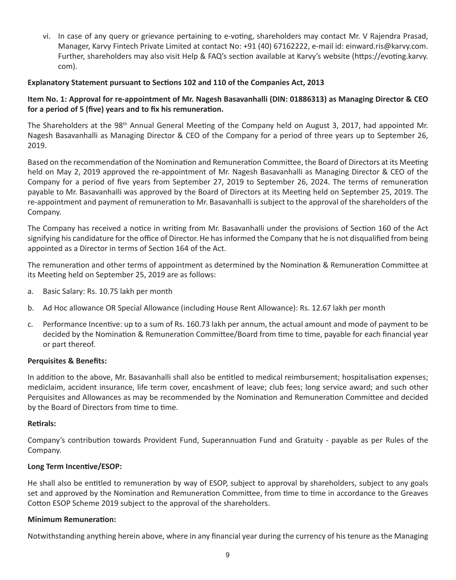vi. In case of any query or grievance pertaining to e-voting, shareholders may contact Mr. V Rajendra Prasad, Manager, Karvy Fintech Private Limited at contact No: +91 (40) 67162222, e-mail id: einward.ris@karvy.com. Further, shareholders may also visit Help & FAQ's section available at Karvy's website (https://evoting.karvy. com).

### **Explanatory Statement pursuant to Sections 102 and 110 of the Companies Act, 2013**

### **Item No. 1: Approval for re-appointment of Mr. Nagesh Basavanhalli (DIN: 01886313) as Managing Director & CEO for a period of 5 (five) years and to fix his remuneration.**

The Shareholders at the 98<sup>th</sup> Annual General Meeting of the Company held on August 3, 2017, had appointed Mr. Nagesh Basavanhalli as Managing Director & CEO of the Company for a period of three years up to September 26, 2019.

Based on the recommendation of the Nomination and Remuneration Committee, the Board of Directors at its Meeting held on May 2, 2019 approved the re-appointment of Mr. Nagesh Basavanhalli as Managing Director & CEO of the Company for a period of five years from September 27, 2019 to September 26, 2024. The terms of remuneration payable to Mr. Basavanhalli was approved by the Board of Directors at its Meeting held on September 25, 2019. The re-appointment and payment of remuneration to Mr. Basavanhalli is subject to the approval of the shareholders of the Company.

The Company has received a notice in writing from Mr. Basavanhalli under the provisions of Section 160 of the Act signifying his candidature for the office of Director. He has informed the Company that he is not disqualified from being appointed as a Director in terms of Section 164 of the Act.

The remuneration and other terms of appointment as determined by the Nomination & Remuneration Committee at its Meeting held on September 25, 2019 are as follows:

- a. Basic Salary: Rs. 10.75 lakh per month
- b. Ad Hoc allowance OR Special Allowance (including House Rent Allowance): Rs. 12.67 lakh per month
- c. Performance Incentive: up to a sum of Rs. 160.73 lakh per annum, the actual amount and mode of payment to be decided by the Nomination & Remuneration Committee/Board from time to time, payable for each financial year or part thereof.

#### **Perquisites & Benefits:**

In addition to the above, Mr. Basavanhalli shall also be entitled to medical reimbursement; hospitalisation expenses; mediclaim, accident insurance, life term cover, encashment of leave; club fees; long service award; and such other Perquisites and Allowances as may be recommended by the Nomination and Remuneration Committee and decided by the Board of Directors from time to time.

#### **Retirals:**

Company's contribution towards Provident Fund, Superannuation Fund and Gratuity - payable as per Rules of the Company.

#### **Long Term Incentive/ESOP:**

He shall also be entitled to remuneration by way of ESOP, subject to approval by shareholders, subject to any goals set and approved by the Nomination and Remuneration Committee, from time to time in accordance to the Greaves Cotton ESOP Scheme 2019 subject to the approval of the shareholders.

#### **Minimum Remuneration:**

Notwithstanding anything herein above, where in any financial year during the currency of his tenure as the Managing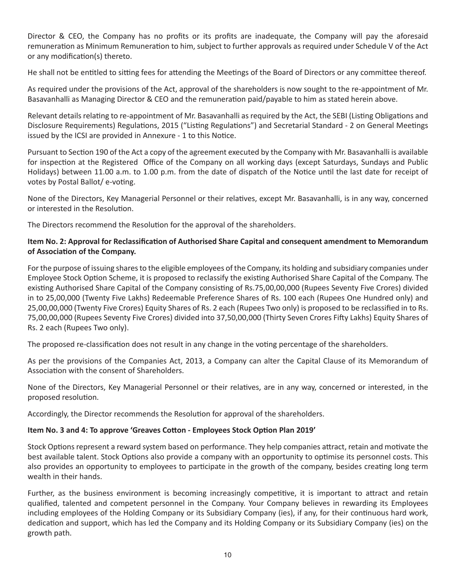Director & CEO, the Company has no profits or its profits are inadequate, the Company will pay the aforesaid remuneration as Minimum Remuneration to him, subject to further approvals as required under Schedule V of the Act or any modification(s) thereto.

He shall not be entitled to sitting fees for attending the Meetings of the Board of Directors or any committee thereof.

As required under the provisions of the Act, approval of the shareholders is now sought to the re-appointment of Mr. Basavanhalli as Managing Director & CEO and the remuneration paid/payable to him as stated herein above.

Relevant details relating to re-appointment of Mr. Basavanhalli as required by the Act, the SEBI (Listing Obligations and Disclosure Requirements) Regulations, 2015 ("Listing Regulations") and Secretarial Standard - 2 on General Meetings issued by the ICSI are provided in Annexure - 1 to this Notice.

Pursuant to Section 190 of the Act a copy of the agreement executed by the Company with Mr. Basavanhalli is available for inspection at the Registered Office of the Company on all working days (except Saturdays, Sundays and Public Holidays) between 11.00 a.m. to 1.00 p.m. from the date of dispatch of the Notice until the last date for receipt of votes by Postal Ballot/ e-voting.

None of the Directors, Key Managerial Personnel or their relatives, except Mr. Basavanhalli, is in any way, concerned or interested in the Resolution.

The Directors recommend the Resolution for the approval of the shareholders.

# **Item No. 2: Approval for Reclassification of Authorised Share Capital and consequent amendment to Memorandum of Association of the Company.**

For the purpose of issuing shares to the eligible employees of the Company, its holding and subsidiary companies under Employee Stock Option Scheme, it is proposed to reclassify the existing Authorised Share Capital of the Company. The existing Authorised Share Capital of the Company consisting of Rs.75,00,00,000 (Rupees Seventy Five Crores) divided in to 25,00,000 (Twenty Five Lakhs) Redeemable Preference Shares of Rs. 100 each (Rupees One Hundred only) and 25,00,00,000 (Twenty Five Crores) Equity Shares of Rs. 2 each (Rupees Two only) is proposed to be reclassified in to Rs. 75,00,00,000 (Rupees Seventy Five Crores) divided into 37,50,00,000 (Thirty Seven Crores Fifty Lakhs) Equity Shares of Rs. 2 each (Rupees Two only).

The proposed re-classification does not result in any change in the voting percentage of the shareholders.

As per the provisions of the Companies Act, 2013, a Company can alter the Capital Clause of its Memorandum of Association with the consent of Shareholders.

None of the Directors, Key Managerial Personnel or their relatives, are in any way, concerned or interested, in the proposed resolution.

Accordingly, the Director recommends the Resolution for approval of the shareholders.

#### **Item No. 3 and 4: To approve 'Greaves Cotton - Employees Stock Option Plan 2019'**

Stock Options represent a reward system based on performance. They help companies attract, retain and motivate the best available talent. Stock Options also provide a company with an opportunity to optimise its personnel costs. This also provides an opportunity to employees to participate in the growth of the company, besides creating long term wealth in their hands.

Further, as the business environment is becoming increasingly competitive, it is important to attract and retain qualified, talented and competent personnel in the Company. Your Company believes in rewarding its Employees including employees of the Holding Company or its Subsidiary Company (ies), if any, for their continuous hard work, dedication and support, which has led the Company and its Holding Company or its Subsidiary Company (ies) on the growth path.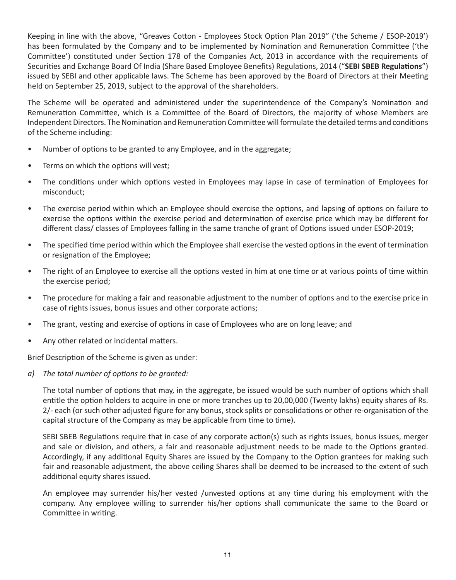Keeping in line with the above, "Greaves Cotton - Employees Stock Option Plan 2019" ('the Scheme / ESOP-2019') has been formulated by the Company and to be implemented by Nomination and Remuneration Committee ('the Committee') constituted under Section 178 of the Companies Act, 2013 in accordance with the requirements of Securities and Exchange Board Of India (Share Based Employee Benefits) Regulations, 2014 ("**SEBI SBEB Regulations**") issued by SEBI and other applicable laws. The Scheme has been approved by the Board of Directors at their Meeting held on September 25, 2019, subject to the approval of the shareholders.

The Scheme will be operated and administered under the superintendence of the Company's Nomination and Remuneration Committee, which is a Committee of the Board of Directors, the majority of whose Members are Independent Directors. The Nomination and Remuneration Committee will formulate the detailed terms and conditions of the Scheme including:

- Number of options to be granted to any Employee, and in the aggregate;
- Terms on which the options will vest;
- The conditions under which options vested in Employees may lapse in case of termination of Employees for misconduct;
- The exercise period within which an Employee should exercise the options, and lapsing of options on failure to exercise the options within the exercise period and determination of exercise price which may be different for different class/ classes of Employees falling in the same tranche of grant of Options issued under ESOP-2019;
- The specified time period within which the Employee shall exercise the vested options in the event of termination or resignation of the Employee;
- The right of an Employee to exercise all the options vested in him at one time or at various points of time within the exercise period;
- The procedure for making a fair and reasonable adjustment to the number of options and to the exercise price in case of rights issues, bonus issues and other corporate actions;
- The grant, vesting and exercise of options in case of Employees who are on long leave; and
- Any other related or incidental matters.

Brief Description of the Scheme is given as under:

*a) The total number of options to be granted:*

The total number of options that may, in the aggregate, be issued would be such number of options which shall entitle the option holders to acquire in one or more tranches up to 20,00,000 (Twenty lakhs) equity shares of Rs. 2/- each (or such other adjusted figure for any bonus, stock splits or consolidations or other re-organisation of the capital structure of the Company as may be applicable from time to time).

SEBI SBEB Regulations require that in case of any corporate action(s) such as rights issues, bonus issues, merger and sale or division, and others, a fair and reasonable adjustment needs to be made to the Options granted. Accordingly, if any additional Equity Shares are issued by the Company to the Option grantees for making such fair and reasonable adjustment, the above ceiling Shares shall be deemed to be increased to the extent of such additional equity shares issued.

An employee may surrender his/her vested /unvested options at any time during his employment with the company. Any employee willing to surrender his/her options shall communicate the same to the Board or Committee in writing.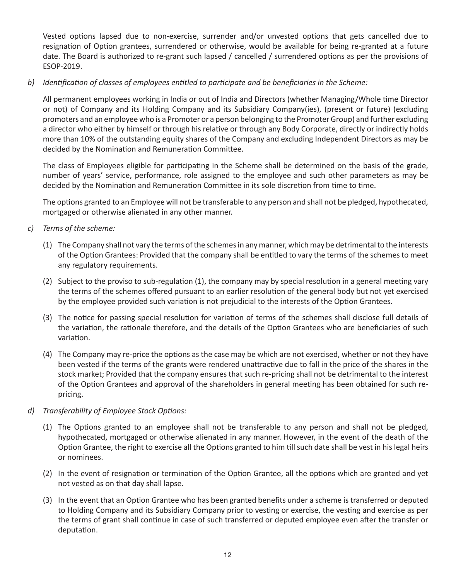Vested options lapsed due to non-exercise, surrender and/or unvested options that gets cancelled due to resignation of Option grantees, surrendered or otherwise, would be available for being re-granted at a future date. The Board is authorized to re-grant such lapsed / cancelled / surrendered options as per the provisions of ESOP-2019.

# *b) Identification of classes of employees entitled to participate and be beneficiaries in the Scheme:*

All permanent employees working in India or out of India and Directors (whether Managing/Whole time Director or not) of Company and its Holding Company and its Subsidiary Company(ies), (present or future) (excluding promoters and an employee who is a Promoter or a person belonging to the Promoter Group) and further excluding a director who either by himself or through his relative or through any Body Corporate, directly or indirectly holds more than 10% of the outstanding equity shares of the Company and excluding Independent Directors as may be decided by the Nomination and Remuneration Committee.

The class of Employees eligible for participating in the Scheme shall be determined on the basis of the grade, number of years' service, performance, role assigned to the employee and such other parameters as may be decided by the Nomination and Remuneration Committee in its sole discretion from time to time.

The options granted to an Employee will not be transferable to any person and shall not be pledged, hypothecated, mortgaged or otherwise alienated in any other manner.

- *c) Terms of the scheme:*
	- (1) The Company shall not vary the terms of the schemes in any manner, which may be detrimental to the interests of the Option Grantees: Provided that the company shall be entitled to vary the terms of the schemes to meet any regulatory requirements.
	- (2) Subject to the proviso to sub-regulation (1), the company may by special resolution in a general meeting vary the terms of the schemes offered pursuant to an earlier resolution of the general body but not yet exercised by the employee provided such variation is not prejudicial to the interests of the Option Grantees.
	- (3) The notice for passing special resolution for variation of terms of the schemes shall disclose full details of the variation, the rationale therefore, and the details of the Option Grantees who are beneficiaries of such variation.
	- (4) The Company may re-price the options as the case may be which are not exercised, whether or not they have been vested if the terms of the grants were rendered unattractive due to fall in the price of the shares in the stock market; Provided that the company ensures that such re-pricing shall not be detrimental to the interest of the Option Grantees and approval of the shareholders in general meeting has been obtained for such repricing.
- *d) Transferability of Employee Stock Options:*
	- (1) The Options granted to an employee shall not be transferable to any person and shall not be pledged, hypothecated, mortgaged or otherwise alienated in any manner. However, in the event of the death of the Option Grantee, the right to exercise all the Options granted to him till such date shall be vest in his legal heirs or nominees.
	- (2) In the event of resignation or termination of the Option Grantee, all the options which are granted and yet not vested as on that day shall lapse.
	- (3) In the event that an Option Grantee who has been granted benefits under a scheme is transferred or deputed to Holding Company and its Subsidiary Company prior to vesting or exercise, the vesting and exercise as per the terms of grant shall continue in case of such transferred or deputed employee even after the transfer or deputation.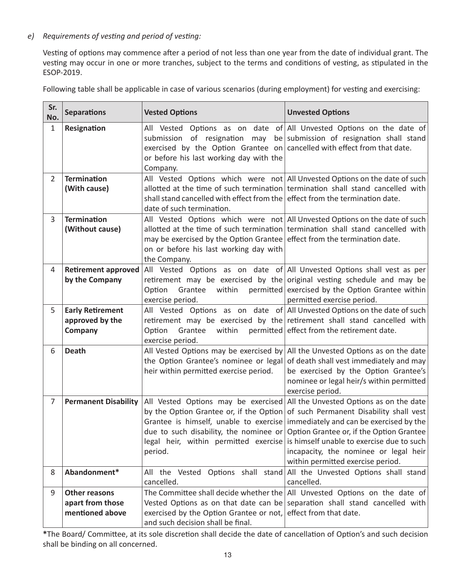# *e) Requirements of vesting and period of vesting:*

Vesting of options may commence after a period of not less than one year from the date of individual grant. The vesting may occur in one or more tranches, subject to the terms and conditions of vesting, as stipulated in the ESOP-2019.

| Sr.<br>No.     | <b>Separations</b>                                          | <b>Vested Options</b>                                                                                                                                               | <b>Unvested Options</b>                                                                                                                                                                                                                                                                                                                                                                                                   |
|----------------|-------------------------------------------------------------|---------------------------------------------------------------------------------------------------------------------------------------------------------------------|---------------------------------------------------------------------------------------------------------------------------------------------------------------------------------------------------------------------------------------------------------------------------------------------------------------------------------------------------------------------------------------------------------------------------|
| $\mathbf{1}$   | Resignation                                                 | submission of resignation<br>may<br>exercised by the Option Grantee on cancelled with effect from that date.<br>or before his last working day with the<br>Company. | All Vested Options as on date of All Unvested Options on the date of<br>be submission of resignation shall stand                                                                                                                                                                                                                                                                                                          |
| $\overline{2}$ | <b>Termination</b><br>(With cause)                          | shall stand cancelled with effect from the effect from the termination date.<br>date of such termination.                                                           | All Vested Options which were not All Unvested Options on the date of such<br>allotted at the time of such termination termination shall stand cancelled with                                                                                                                                                                                                                                                             |
| 3              | <b>Termination</b><br>(Without cause)                       | may be exercised by the Option Grantee effect from the termination date.<br>on or before his last working day with<br>the Company.                                  | All Vested Options which were not All Unvested Options on the date of such<br>allotted at the time of such termination termination shall stand cancelled with                                                                                                                                                                                                                                                             |
| 4              | <b>Retirement approved</b><br>by the Company                | retirement may be exercised by the<br>within<br>permitted<br>Option<br>Grantee<br>exercise period.                                                                  | All Vested Options as on date of All Unvested Options shall vest as per<br>original vesting schedule and may be<br>exercised by the Option Grantee within<br>permitted exercise period.                                                                                                                                                                                                                                   |
| 5              | <b>Early Retirement</b><br>approved by the<br>Company       | within<br>permitted<br>Option<br>Grantee<br>exercise period.                                                                                                        | All Vested Options as on date of All Unvested Options on the date of such<br>retirement may be exercised by the retirement shall stand cancelled with<br>effect from the retirement date.                                                                                                                                                                                                                                 |
| 6              | <b>Death</b>                                                | All Vested Options may be exercised by<br>the Option Grantee's nominee or legal<br>heir within permitted exercise period.                                           | All the Unvested Options as on the date<br>of death shall vest immediately and may<br>be exercised by the Option Grantee's<br>nominee or legal heir/s within permitted<br>exercise period.                                                                                                                                                                                                                                |
| $\overline{7}$ | <b>Permanent Disability</b>                                 | All Vested Options may be exercised<br>due to such disability, the nominee or<br>period.                                                                            | All the Unvested Options as on the date<br>by the Option Grantee or, if the Option of such Permanent Disability shall vest<br>Grantee is himself, unable to exercise immediately and can be exercised by the<br>Option Grantee or, if the Option Grantee<br>legal heir, within permitted exercise is himself unable to exercise due to such<br>incapacity, the nominee or legal heir<br>within permitted exercise period. |
| 8              | Abandonment*                                                | All the Vested Options shall stand<br>cancelled.                                                                                                                    | All the Unvested Options shall stand<br>cancelled.                                                                                                                                                                                                                                                                                                                                                                        |
| 9              | <b>Other reasons</b><br>apart from those<br>mentioned above | The Committee shall decide whether the<br>Vested Options as on that date can be<br>exercised by the Option Grantee or not,<br>and such decision shall be final.     | All Unvested Options on the date of<br>separation shall stand cancelled with<br>effect from that date.                                                                                                                                                                                                                                                                                                                    |

Following table shall be applicable in case of various scenarios (during employment) for vesting and exercising:

**\***The Board/ Committee, at its sole discretion shall decide the date of cancellation of Option's and such decision shall be binding on all concerned.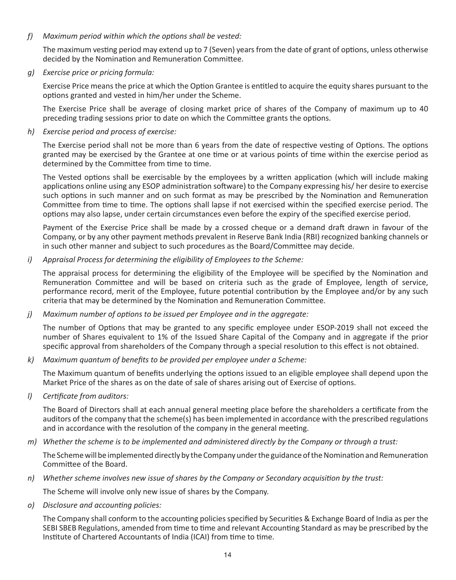*f) Maximum period within which the options shall be vested:*

The maximum vesting period may extend up to 7 (Seven) years from the date of grant of options, unless otherwise decided by the Nomination and Remuneration Committee.

*g) Exercise price or pricing formula:*

Exercise Price means the price at which the Option Grantee is entitled to acquire the equity shares pursuant to the options granted and vested in him/her under the Scheme.

The Exercise Price shall be average of closing market price of shares of the Company of maximum up to 40 preceding trading sessions prior to date on which the Committee grants the options.

*h) Exercise period and process of exercise:*

The Exercise period shall not be more than 6 years from the date of respective vesting of Options. The options granted may be exercised by the Grantee at one time or at various points of time within the exercise period as determined by the Committee from time to time.

The Vested options shall be exercisable by the employees by a written application (which will include making applications online using any ESOP administration software) to the Company expressing his/ her desire to exercise such options in such manner and on such format as may be prescribed by the Nomination and Remuneration Committee from time to time. The options shall lapse if not exercised within the specified exercise period. The options may also lapse, under certain circumstances even before the expiry of the specified exercise period.

Payment of the Exercise Price shall be made by a crossed cheque or a demand draft drawn in favour of the Company, or by any other payment methods prevalent in Reserve Bank India (RBI) recognized banking channels or in such other manner and subject to such procedures as the Board/Committee may decide.

*i) Appraisal Process for determining the eligibility of Employees to the Scheme:*

The appraisal process for determining the eligibility of the Employee will be specified by the Nomination and Remuneration Committee and will be based on criteria such as the grade of Employee, length of service, performance record, merit of the Employee, future potential contribution by the Employee and/or by any such criteria that may be determined by the Nomination and Remuneration Committee.

*j) Maximum number of options to be issued per Employee and in the aggregate:*

The number of Options that may be granted to any specific employee under ESOP-2019 shall not exceed the number of Shares equivalent to 1% of the Issued Share Capital of the Company and in aggregate if the prior specific approval from shareholders of the Company through a special resolution to this effect is not obtained.

*k) Maximum quantum of benefits to be provided per employee under a Scheme:*

The Maximum quantum of benefits underlying the options issued to an eligible employee shall depend upon the Market Price of the shares as on the date of sale of shares arising out of Exercise of options.

*l) Certificate from auditors:*

The Board of Directors shall at each annual general meeting place before the shareholders a certificate from the auditors of the company that the scheme(s) has been implemented in accordance with the prescribed regulations and in accordance with the resolution of the company in the general meeting.

*m) Whether the scheme is to be implemented and administered directly by the Company or through a trust:*

The Scheme will be implemented directly by the Company under the guidance of the Nomination and Remuneration Committee of the Board.

*n) Whether scheme involves new issue of shares by the Company or Secondary acquisition by the trust:*

The Scheme will involve only new issue of shares by the Company.

*o) Disclosure and accounting policies:*

The Company shall conform to the accounting policies specified by Securities & Exchange Board of India as per the SEBI SBEB Regulations, amended from time to time and relevant Accounting Standard as may be prescribed by the Institute of Chartered Accountants of India (ICAI) from time to time.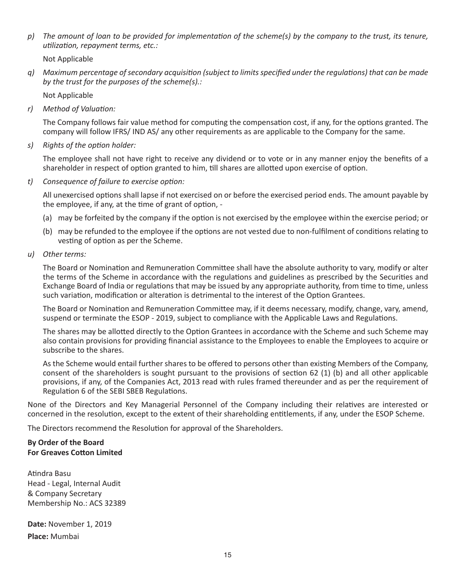p) The amount of loan to be provided for implementation of the scheme(s) by the company to the trust, its tenure, *utilization, repayment terms, etc.:*

Not Applicable

*q) Maximum percentage ofsecondary acquisition (subject to limitsspecified under the regulations) that can be made by the trust for the purposes of the scheme(s).:*

Not Applicable

*r) Method of Valuation:*

The Company follows fair value method for computing the compensation cost, if any, for the options granted. The company will follow IFRS/ IND AS/ any other requirements as are applicable to the Company for the same.

*s) Rights of the option holder:*

The employee shall not have right to receive any dividend or to vote or in any manner enjoy the benefits of a shareholder in respect of option granted to him, till shares are allotted upon exercise of option.

*t) Consequence of failure to exercise option:*

All unexercised options shall lapse if not exercised on or before the exercised period ends. The amount payable by the employee, if any, at the time of grant of option, -

- (a) may be forfeited by the company if the option is not exercised by the employee within the exercise period; or
- (b) may be refunded to the employee if the options are not vested due to non-fulfilment of conditions relating to vesting of option as per the Scheme.
- *u) Other terms:*

The Board or Nomination and Remuneration Committee shall have the absolute authority to vary, modify or alter the terms of the Scheme in accordance with the regulations and guidelines as prescribed by the Securities and Exchange Board of India or regulations that may be issued by any appropriate authority, from time to time, unless such variation, modification or alteration is detrimental to the interest of the Option Grantees.

The Board or Nomination and Remuneration Committee may, if it deems necessary, modify, change, vary, amend, suspend or terminate the ESOP - 2019, subject to compliance with the Applicable Laws and Regulations.

The shares may be allotted directly to the Option Grantees in accordance with the Scheme and such Scheme may also contain provisions for providing financial assistance to the Employees to enable the Employees to acquire or subscribe to the shares.

As the Scheme would entail further shares to be offered to persons other than existing Members of the Company, consent of the shareholders is sought pursuant to the provisions of section 62 (1) (b) and all other applicable provisions, if any, of the Companies Act, 2013 read with rules framed thereunder and as per the requirement of Regulation 6 of the SEBI SBEB Regulations.

None of the Directors and Key Managerial Personnel of the Company including their relatives are interested or concerned in the resolution, except to the extent of their shareholding entitlements, if any, under the ESOP Scheme.

The Directors recommend the Resolution for approval of the Shareholders.

### **By Order of the Board For Greaves Cotton Limited**

Atindra Basu Head - Legal, Internal Audit & Company Secretary Membership No.: ACS 32389

**Date:** November 1, 2019 **Place:** Mumbai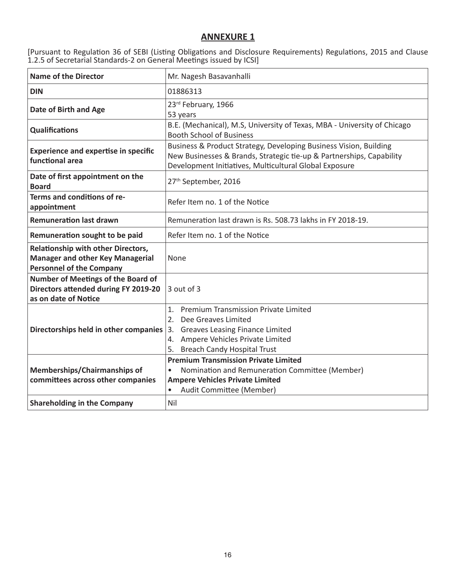# **ANNEXURE 1**

[Pursuant to Regulation 36 of SEBI (Listing Obligations and Disclosure Requirements) Regulations, 2015 and Clause 1.2.5 of Secretarial Standards-2 on General Meetings issued by ICSI]

| <b>Name of the Director</b>                                                                                             | Mr. Nagesh Basavanhalli                                                                                                                                                                                |  |  |
|-------------------------------------------------------------------------------------------------------------------------|--------------------------------------------------------------------------------------------------------------------------------------------------------------------------------------------------------|--|--|
| <b>DIN</b>                                                                                                              | 01886313                                                                                                                                                                                               |  |  |
| Date of Birth and Age                                                                                                   | 23rd February, 1966<br>53 years                                                                                                                                                                        |  |  |
| <b>Qualifications</b>                                                                                                   | B.E. (Mechanical), M.S, University of Texas, MBA - University of Chicago<br><b>Booth School of Business</b>                                                                                            |  |  |
| <b>Experience and expertise in specific</b><br>functional area                                                          | Business & Product Strategy, Developing Business Vision, Building<br>New Businesses & Brands, Strategic tie-up & Partnerships, Capability<br>Development Initiatives, Multicultural Global Exposure    |  |  |
| Date of first appointment on the<br><b>Board</b>                                                                        | 27th September, 2016                                                                                                                                                                                   |  |  |
| Terms and conditions of re-<br>appointment                                                                              | Refer Item no. 1 of the Notice                                                                                                                                                                         |  |  |
| <b>Remuneration last drawn</b>                                                                                          | Remuneration last drawn is Rs. 508.73 lakhs in FY 2018-19.                                                                                                                                             |  |  |
| Remuneration sought to be paid                                                                                          | Refer Item no. 1 of the Notice                                                                                                                                                                         |  |  |
| <b>Relationship with other Directors,</b><br><b>Manager and other Key Managerial</b><br><b>Personnel of the Company</b> | None                                                                                                                                                                                                   |  |  |
| Number of Meetings of the Board of<br>Directors attended during FY 2019-20<br>as on date of Notice                      | 3 out of 3                                                                                                                                                                                             |  |  |
| Directorships held in other companies                                                                                   | <b>Premium Transmission Private Limited</b><br>1.<br>2.<br>Dee Greaves Limited<br><b>Greaves Leasing Finance Limited</b><br>3.<br>4. Ampere Vehicles Private Limited<br>5. Breach Candy Hospital Trust |  |  |
| Memberships/Chairmanships of<br>committees across other companies                                                       | <b>Premium Transmission Private Limited</b><br>Nomination and Remuneration Committee (Member)<br>$\bullet$<br><b>Ampere Vehicles Private Limited</b><br>Audit Committee (Member)<br>$\bullet$          |  |  |
| <b>Shareholding in the Company</b>                                                                                      | Nil                                                                                                                                                                                                    |  |  |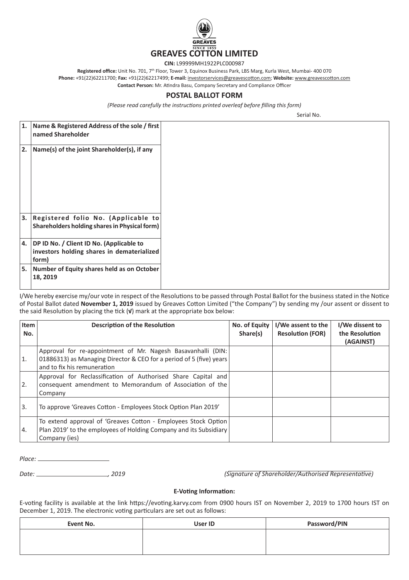

**CIN:** L99999MH1922PLC000987

**Registered office:** Unit No. 701, 7th Floor, Tower 3, Equinox Business Park, LBS Marg, Kurla West, Mumbai- 400 070

**Phone:** +91(22)62211700; **Fax:** +91(22)62217499; **E-mail:** investorservices@greavescotton.com; **Website:** www.greavescotton.com

**Contact Person:** Mr. Atindra Basu, Company Secretary and Compliance Officer

### **POSTAL BALLOT FORM**

*(Please read carefully the instructions printed overleaf before filling this form)*

Serial No.

| 1. | Name & Registered Address of the sole / first<br>named Shareholder                              |
|----|-------------------------------------------------------------------------------------------------|
| 2. | Name(s) of the joint Shareholder(s), if any                                                     |
| 3. | Registered folio No. (Applicable to<br>Shareholders holding shares in Physical form)            |
| 4. | DP ID No. / Client ID No. (Applicable to<br>investors holding shares in dematerialized<br>form) |
| 5  | Number of Equity shares held as on October<br>18, 2019                                          |

I/We hereby exercise my/our vote in respect of the Resolutions to be passed through Postal Ballot for the business stated in the Notice of Postal Ballot dated **November 1, 2019** issued by Greaves Cotton Limited ("the Company") by sending my /our assent or dissent to the said Resolution by placing the tick (**√**) mark at the appropriate box below:

| <b>Item</b><br>No. | <b>Description of the Resolution</b>                                                                                                                               | No. of Equity<br>Share(s) | I/We assent to the<br><b>Resolution (FOR)</b> | I/We dissent to<br>the Resolution<br>(AGAINST) |
|--------------------|--------------------------------------------------------------------------------------------------------------------------------------------------------------------|---------------------------|-----------------------------------------------|------------------------------------------------|
| 1.                 | Approval for re-appointment of Mr. Nagesh Basavanhalli (DIN:<br>01886313) as Managing Director & CEO for a period of 5 (five) years<br>and to fix his remuneration |                           |                                               |                                                |
| 2.                 | Approval for Reclassification of Authorised Share Capital and<br>consequent amendment to Memorandum of Association of the<br>Company                               |                           |                                               |                                                |
| 3.                 | To approve 'Greaves Cotton - Employees Stock Option Plan 2019'                                                                                                     |                           |                                               |                                                |
| 4.                 | To extend approval of 'Greaves Cotton - Employees Stock Option<br>Plan 2019' to the employees of Holding Company and its Subsidiary<br>Company (ies)               |                           |                                               |                                                |

*Place:* 

*Date: , 2019 (Signature of Shareholder/Authorised Representative)*

#### **E-Voting Information:**

E-voting facility is available at the link https://evoting.karvy.com from 0900 hours IST on November 2, 2019 to 1700 hours IST on December 1, 2019. The electronic voting particulars are set out as follows:

| Event No. | User ID | Password/PIN |
|-----------|---------|--------------|
|           |         |              |
|           |         |              |
|           |         |              |